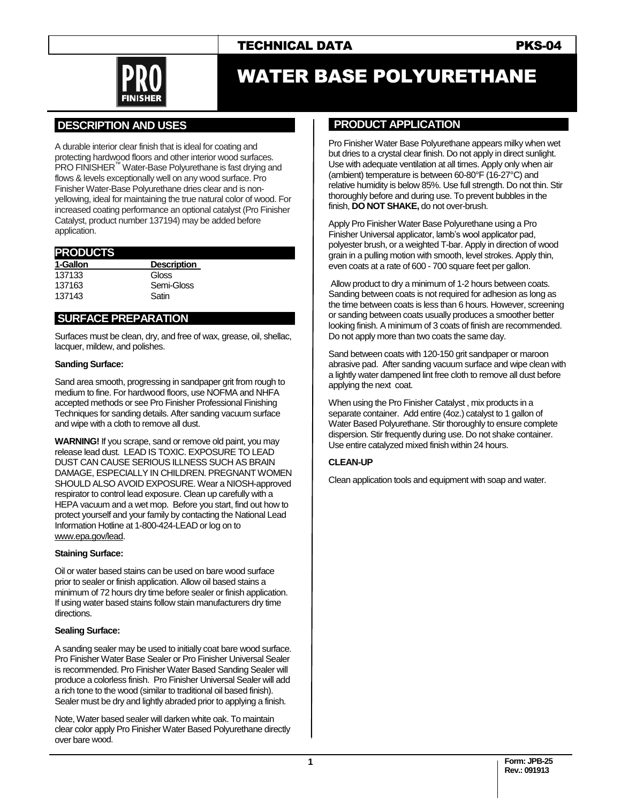



# WATER BASE POLYURETHANE

# **.DESCRIPTION AND USES .**

A durable interior clear finish that is ideal for coating and protecting hardwood floors and other interior wood surfaces. PRO FINISHER<sup>™</sup> Water-Base Polyurethane is fast drying and flows & levels exceptionally well on any wood surface. Pro Finisher Water-Base Polyurethane dries clear and is nonyellowing, ideal for maintaining the true natural color of wood. For increased coating performance an optional catalyst (Pro Finisher Catalyst, product number 137194) may be added before application.

#### **PRODUCTS . 1-Gallon Description** 137133 Gloss 137163 Semi-Gloss<br>137143 Satin 137143

# **.SURFACE PREPARATION .**

Surfaces must be clean, dry, and free of wax, grease, oil, shellac, lacquer, mildew, and polishes.

#### **Sanding Surface:**

Sand area smooth, progressing in sandpaper grit from rough to medium to fine. For hardwood floors, use NOFMA and NHFA accepted methods or see Pro Finisher Professional Finishing Techniques for sanding details. After sanding vacuum surface and wipe with a cloth to remove all dust.

**WARNING!** If you scrape, sand or remove old paint, you may release lead dust. LEAD IS TOXIC. EXPOSURE TO LEAD DUST CAN CAUSE SERIOUS ILLNESS SUCH AS BRAIN DAMAGE, ESPECIALLY IN CHILDREN. PREGNANT WOMEN SHOULD ALSO AVOID EXPOSURE. Wear a NIOSH-approved respirator to control lead exposure. Clean up carefully with a HEPA vacuum and a wet mop. Before you start, find out how to protect yourself and your family by contacting the National Lead Information Hotline at 1-800-424-LEAD or log on to [www.epa.gov/lead.](http://www.epa.gov/lead)

#### **Staining Surface:**

Oil or water based stains can be used on bare wood surface prior to sealer or finish application. Allow oil based stains a minimum of 72 hours dry time before sealer or finish application. If using water based stains follow stain manufacturers dry time directions.

#### **Sealing Surface:**

A sanding sealer may be used to initially coat bare wood surface. Pro Finisher Water Base Sealer or Pro Finisher Universal Sealer is recommended. Pro Finisher Water Based Sanding Sealer will produce a colorless finish. Pro Finisher Universal Sealer will add a rich tone to the wood (similar to traditional oil based finish). Sealer must be dry and lightly abraded prior to applying a finish.

Note, Water based sealer will darken white oak. To maintain clear color apply Pro Finisher Water Based Polyurethane directly over bare wood.

### **PRODUCT APPLICATION**

Pro Finisher Water Base Polyurethane appears milky when wet but dries to a crystal clear finish. Do not apply in direct sunlight. Use with adequate ventilation at all times. Apply only when air (ambient) temperature is between 60-80°F (16-27°C) and relative humidity is below 85%. Use full strength. Do not thin. Stir thoroughly before and during use. To prevent bubbles in the finish, **DO NOT SHAKE,** do not over-brush.

Apply Pro Finisher Water Base Polyurethane using a Pro Finisher Universal applicator, lamb's wool applicator pad, polyester brush, or a weighted T-bar. Apply in direction of wood grain in a pulling motion with smooth, level strokes. Apply thin, even coats at a rate of 600 - 700 square feet per gallon.

Allow product to dry a minimum of 1-2 hours between coats. Sanding between coats is not required for adhesion as long as the time between coats is less than 6 hours. However, screening or sanding between coats usually produces a smoother better looking finish. A minimum of 3 coats of finish are recommended. Do not apply more than two coats the same day.

Sand between coats with 120-150 grit sandpaper or maroon abrasive pad. After sanding vacuum surface and wipe clean with a lightly water dampened lint free cloth to remove all dust before applying the next coat.

When using the Pro Finisher Catalyst , mix products in a separate container. Add entire (4oz.) catalyst to 1 gallon of Water Based Polyurethane. Stir thoroughly to ensure complete dispersion. Stir frequently during use. Do not shake container. Use entire catalyzed mixed finish within 24 hours.

#### **CLEAN-UP**

Clean application tools and equipment with soap and water.